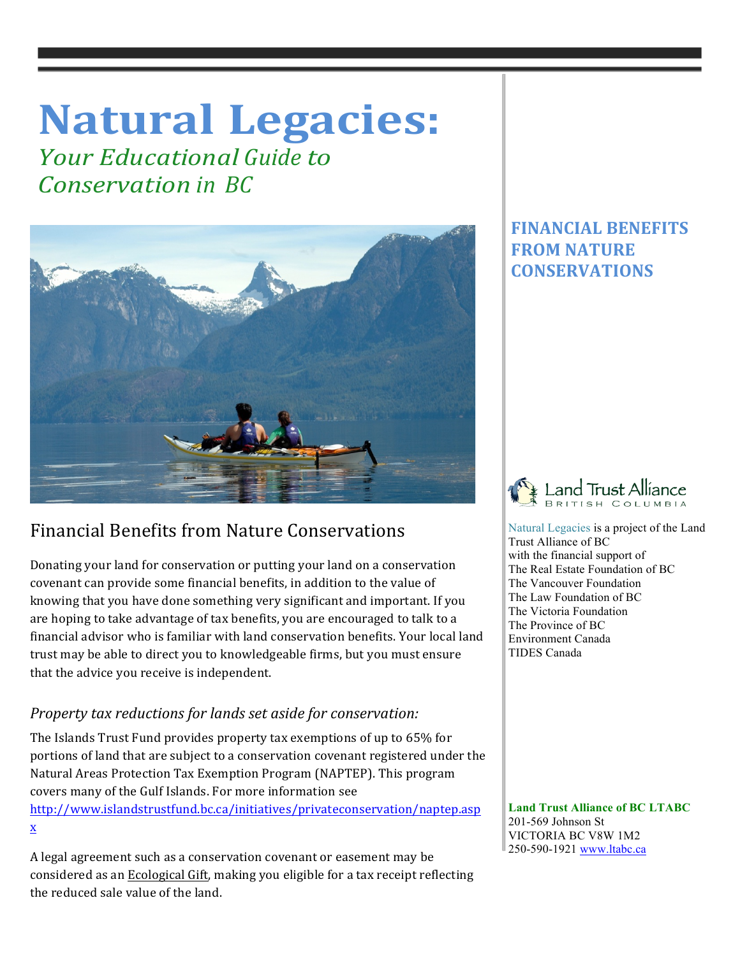# **Natural Legacies:**

*<u>Your Educational Guide to</u> Conservation in BC*



## Financial Benefits from Nature Conservations

Donating your land for conservation or putting your land on a conservation covenant can provide some financial benefits, in addition to the value of knowing that you have done something very significant and important. If you are hoping to take advantage of tax benefits, you are encouraged to talk to a financial advisor who is familiar with land conservation benefits. Your local land trust may be able to direct you to knowledgeable firms, but you must ensure that the advice you receive is independent.

## *Property tax reductions for lands set aside for conservation:*

The Islands Trust Fund provides property tax exemptions of up to 65% for portions of land that are subject to a conservation covenant registered under the Natural Areas Protection Tax Exemption Program (NAPTEP). This program covers many of the Gulf Islands. For more information see

http://www.islandstrustfund.bc.ca/initiatives/privateconservation/naptep.asp x 

A legal agreement such as a conservation covenant or easement may be considered as an Ecological Gift, making you eligible for a tax receipt reflecting the reduced sale value of the land.

## **FINANCIAL BENEFITS FROM NATURE CONSERVATIONS**

 $\mathbb{I}$ 



 Natural Legacies is a project of the Land Trust Alliance of BC with the financial support of The Real Estate Foundation of BC The Vancouver Foundation The Law Foundation of BC The Victoria Foundation The Province of BC Environment Canada TIDES Canada

 **Land Trust Alliance of BC LTABC** 201-569 Johnson St VICTORIA BC V8W 1M2 250-590-1921 www.ltabc.ca